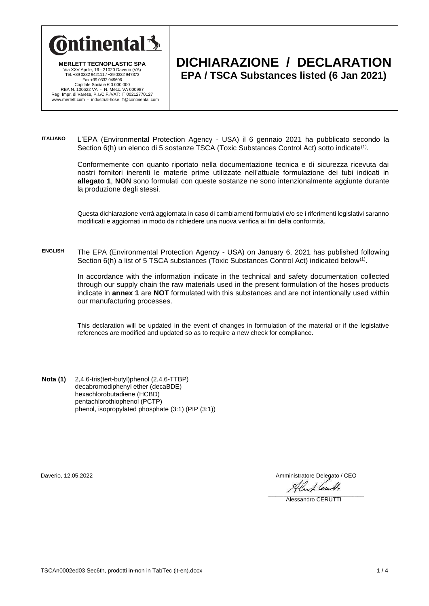

**MERLETT TECNOPLASTIC SPA** Via XXV Aprile, 16 - 21020 Daverio (VA) Tel. +39 0332 942111 / +39 0332 947373 Fax +39 0332 949696 Capitale Sociale € 3.000.000 REA N. 100622 VA - N. Mecc. VA 000987 Reg. Impr. di Varese, P.I./C.F./VAT: IT 00212770127 www.merlett.com - industrial-hose.IT@continental.com

## **DICHIARAZIONE / DECLARATION EPA / TSCA Substances listed (6 Jan 2021)**

**ITALIANO** L'EPA (Environmental Protection Agency - USA) il 6 gennaio 2021 ha pubblicato secondo la Section 6(h) un elenco di 5 sostanze TSCA (Toxic Substances Control Act) sotto indicate<sup>(1)</sup>.

> Conformemente con quanto riportato nella documentazione tecnica e di sicurezza ricevuta dai nostri fornitori inerenti le materie prime utilizzate nell'attuale formulazione dei tubi indicati in **allegato 1**, **NON** sono formulati con queste sostanze ne sono intenzionalmente aggiunte durante la produzione degli stessi.

> Questa dichiarazione verrà aggiornata in caso di cambiamenti formulativi e/o se i riferimenti legislativi saranno modificati e aggiornati in modo da richiedere una nuova verifica ai fini della conformità.

**ENGLISH** The EPA (Environmental Protection Agency - USA) on January 6, 2021 has published following Section 6(h) a list of 5 TSCA substances (Toxic Substances Control Act) indicated below<sup>(1)</sup>.

In accordance with the information indicate in the technical and safety documentation collected through our supply chain the raw materials used in the present formulation of the hoses products indicate in **annex 1** are **NOT** formulated with this substances and are not intentionally used within our manufacturing processes.

This declaration will be updated in the event of changes in formulation of the material or if the legislative references are modified and updated so as to require a new check for compliance.

**Nota (1)** 2,4,6-tris(tert-butyl)phenol (2,4,6-TTBP) decabromodiphenyl ether (decaBDE) hexachlorobutadiene (HCBD) pentachlorothiophenol (PCTP) phenol, isopropylated phosphate (3:1) (PIP (3:1))

Daverio, 12.05.2022 Amministratore Delegato / CEO

 $\frac{1}{\sqrt{2}}$ 

\_\_\_\_\_\_\_\_\_\_\_\_\_\_\_\_\_\_\_\_\_\_\_\_\_\_\_\_\_\_\_\_\_\_\_\_\_\_\_\_\_\_\_\_\_\_\_\_\_\_\_\_\_\_\_\_\_\_\_\_ Alessandro CERUTTI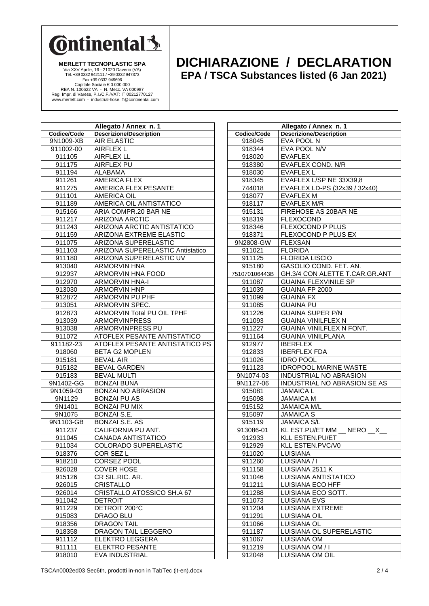

**MERLETT TECNOPLASTIC SPA** Via XXV Aprile, 16 - 21020 Daverio (VA) Tel. +39 0332 942111 / +39 0332 947373 Fax +39 0332 949696 Capitale Sociale € 3.000.000<br>REA N. 100622 VA - N. Mecc. VA 000987<br>Reg. Impr. di Varese, P.I./C.F./VAT: IT 00212770127<br>www.merlett.com - industrial-hose.IT@continental.com

## **DICHIARAZIONE / DECLARATION EPA / TSCA Substances listed (6 Jan 2021)**

|                          | Allegato / Annex n. 1                                |  |
|--------------------------|------------------------------------------------------|--|
| Codice/Code<br>9N1009-XB | <b>Descrizione/Description</b><br><b>AIR ELASTIC</b> |  |
|                          | <b>AIRFLEX L</b>                                     |  |
| 911002-00<br>911105      | <b>AIRFLEX LL</b>                                    |  |
|                          |                                                      |  |
| 911175<br>911194         | <b>AIRFLEX PU</b><br>ALABAMA                         |  |
| 911261                   | <b>AMERICA FLEX</b>                                  |  |
| 911275                   | AMERICA FLEX PESANTE                                 |  |
| 911101                   | <b>AMERICA OIL</b>                                   |  |
| 911189                   | AMERICA OIL ANTISTATICO                              |  |
| 915166                   | ARIA COMPR.20 BAR NE                                 |  |
| 911217                   | <b>ARIZONA ARCTIC</b>                                |  |
| 911243                   | ARIZONA ARCTIC ANTISTATICO                           |  |
| 911159                   | ARIZONA EXTREME ELASTIC                              |  |
| 911075                   | <b>ARIZONA SUPERELASTIC</b>                          |  |
| 911103                   | <b>ARIZONA SUPERELASTIC Antistatico</b>              |  |
| 911180                   | ARIZONA SUPERELASTIC UV                              |  |
| 913040                   | <b>ARMORVIN HNA</b>                                  |  |
| 912937                   | <b>ARMORVIN HNA FOOD</b>                             |  |
| 912970                   | <b>ARMORVIN HNA-I</b>                                |  |
| 913030                   | <b>ARMORVIN HNP</b>                                  |  |
| 912872                   | ARMORVIN PU PHF                                      |  |
| 913051                   | ARMORVIN SPEC.                                       |  |
| 912873                   | ARMORVIN Total PU OIL TPHF                           |  |
| 913039                   | ARMORVINPRESS                                        |  |
| 913038                   | ARMORVINPRESS PU                                     |  |
| 911072                   | <b>ATOFLEX PESANTE ANTISTATICO</b>                   |  |
| 911182-23                | ATOFLEX PESANTE ANTISTATICO PS                       |  |
| 918060                   | <b>BETA G2 MOPLEN</b>                                |  |
| 915181                   | <b>BEVAL AIR</b>                                     |  |
| 915182                   | <b>BEVAL GARDEN</b>                                  |  |
| 915183                   | <b>BEVAL MULTI</b>                                   |  |
| 9N1402-GG                | <b>BONZAI BUNA</b>                                   |  |
| 9N1059-03                | <b>BONZAI NO ABRASION</b>                            |  |
| 9N1129                   | <b>BONZAI PU AS</b>                                  |  |
| 9N1401                   | <b>BONZAI PU MIX</b>                                 |  |
| 9N1075                   | <b>BONZAI S.E.</b>                                   |  |
| 9N1103-GB                | <b>BONZAI S.E. AS</b>                                |  |
| 911237                   | CALIFORNIA PU ANT.                                   |  |
| 911045                   | CANADA ANTISTATICO                                   |  |
| 911034                   | COLORADO SUPERELASTIC                                |  |
| 918376                   | COR SEZ L                                            |  |
| 918210                   | <b>CORSEZ POOL</b>                                   |  |
| 926028                   | <b>COVER HOSE</b>                                    |  |
| 915126                   | CR SIL.RIC. AR.                                      |  |
| 926015                   | CRISTALLO                                            |  |
| 926014                   | CRISTALLO ATOSSICO SH.A 67                           |  |
| 911042                   | <b>DETROIT</b>                                       |  |
| 911229                   | DETROIT 200°C                                        |  |
| 915083                   | DRAGO BLU                                            |  |
| 918356                   | <b>DRAGON TAIL</b>                                   |  |
| 918358                   | DRAGON TAIL LEGGERO                                  |  |
| 911112                   | <b>ELEKTRO LEGGERA</b>                               |  |
| 911111                   | <b>ELEKTRO PESANTE</b>                               |  |
| 918010                   | EVA INDUSTRIAL                                       |  |

| Allegato / Annex n. 1 |                                            |  |
|-----------------------|--------------------------------------------|--|
| Codice/Code           | <b>Descrizione/Description</b>             |  |
| 918045                | EVA POOL N                                 |  |
| 918344                | EVA POOL N/V                               |  |
| 918020                | <b>EVAFLEX</b>                             |  |
| 918380                | <b>EVAFLEX COND. N/R</b>                   |  |
| 918030                | <b>EVAFLEX L</b>                           |  |
| 918345                | EVAFLEX L/SP NE 33X39,8                    |  |
| 744018                | EVAFLEX LD-PS (32x39 / 32x40)              |  |
| 918077                | EVAFLEX M                                  |  |
| 918117                | <b>EVAFLEX M/R</b>                         |  |
| 915131                | FIREHOSE AS 20BAR NE                       |  |
| 918319                | <b>FLEXOCOND</b>                           |  |
| 918346                | <b>FLEXOCOND P PLUS</b>                    |  |
| 918371                | FLEXOCOND P PLUS EX                        |  |
| 9N2808-GW             | <b>FLEXSAN</b>                             |  |
| 911021                | <b>FLORIDA</b>                             |  |
| 911125                | <b>FLORIDA LISCIO</b>                      |  |
| 915180                | GASOLIO COND. FET. AN.                     |  |
| 751070106443B         | GH.3/4 CON ALETTE T.CAR.GR.ANT             |  |
| 911087                | <b>GUAINA FLEXVINILE SP</b>                |  |
| 911039                | GUAINA FP 2000                             |  |
| 911099                | <b>GUAINA FX</b>                           |  |
| 911085                | <b>GUAINA PU</b>                           |  |
| 911226                | <b>GUAINA SUPER P/N</b>                    |  |
| 911093                | <b>GUAINA VINILFLEX N</b>                  |  |
| 911227                | GUAINA VINILFLEX N FONT.                   |  |
| 911164                | <b>GUAINA VINILPLANA</b>                   |  |
| 912977                | <b>IBERFLEX</b>                            |  |
| 912833                | <b>IBERFLEX FDA</b>                        |  |
| 911026                | <b>IDRO POOL</b>                           |  |
| 911123                | <b>IDROPOOL MARINE WASTE</b>               |  |
| 9N1074-03             | <b>INDUSTRIAL NO ABRASION</b>              |  |
| 9N1127-06             | INDUSTRIAL NO ABRASION SE AS               |  |
| 915081                | <b>JAMAICA L</b>                           |  |
| 915098                | <b>JAMAICA M</b>                           |  |
| 915152                | <b>JAMAICA M/L</b>                         |  |
| 915097                | <b>JAMAICA S</b>                           |  |
| 915119                | <b>JAMAICA S/L</b>                         |  |
| 913086-01             | <b>KL EST.PU/ET MM</b><br><b>NERO</b><br>X |  |
| 912933                | <b>KLL ESTEN.PU/ET</b>                     |  |
| 912929                | KLL ESTEN.PVC/V0                           |  |
| 911020                | LUISIANA                                   |  |
| 911260                | LUISIANA / I                               |  |
| 911158                | LUISIANA 2511 K                            |  |
| 911046                | LUISIANA ANTISTATICO                       |  |
| 911211                | LUISIANA ECO HFF                           |  |
| 911288                | LUISIANA ECO SOTT.                         |  |
| 911073                | LUISIANA EVS                               |  |
| 911204                | LUISIANA EXTREME                           |  |
| 911291                | LUISIANA OIL                               |  |
| 911066                | LUISIANA OL                                |  |
| 911187                | LUISIANA OL SUPERELASTIC                   |  |
| 911067                | LUISIANA OM                                |  |
| 911219                | LUISIANA OM / I                            |  |
| 912048                | LUISIANA OM OIL                            |  |
|                       |                                            |  |

TSCAn0002ed03 Sec6th, prodotti in-non in TabTec (it-en).docx 2 / 4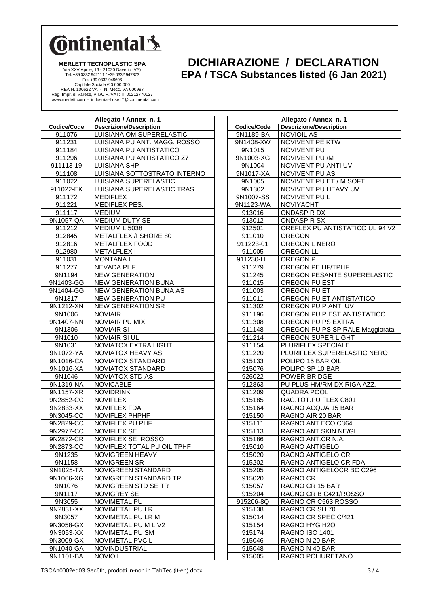

**MERLETT TECNOPLASTIC SPA** Via XXV Aprile, 16 - 21020 Daverio (VA) Tel. +39 0332 942111 / +39 0332 947373 Fax +39 0332 949696 Capitale Sociale € 3.000.000<br>REA N. 100622 VA - N. Mecc. VA 000987<br>Reg. Impr. di Varese, P.I./C.F./VAT: IT 00212770127<br>www.merlett.com - industrial-hose.IT@continental.com

## **DICHIARAZIONE / DECLARATION EPA / TSCA Substances listed (6 Jan 2021)**

| Allegato / Annex n. 1 |                                               |  |  |
|-----------------------|-----------------------------------------------|--|--|
| Codice/Code           | <b>Descrizione/Description</b>                |  |  |
| 911076                | LUISIANA OM SUPERELASTIC                      |  |  |
| 911231                | LUISIANA PU ANT. MAGG. ROSSO                  |  |  |
| 911184                | LUISIANA PU ANTISTATICO                       |  |  |
| 911296                | LUISIANA PU ANTISTATICO Z7                    |  |  |
| 911113-19             | LUISIANA SHP                                  |  |  |
| 911108                | LUISIANA SOTTOSTRATO INTERNO                  |  |  |
| 911022                | LUISIANA SUPERELASTIC                         |  |  |
| 911022-EK             | LUISIANA SUPERELASTIC TRAS.                   |  |  |
| 911172                | <b>MEDIFLEX</b>                               |  |  |
| 911221                | MEDIFLEX PES.                                 |  |  |
| 911117                | <b>MEDIUM</b>                                 |  |  |
| 9N1057-QA             | MEDIUM DUTY SE                                |  |  |
| 911212                | MEDIUM L 5038                                 |  |  |
| 912845                | METALFLEX /I SHORE 80                         |  |  |
| 912816                | <b>METALFLEX FOOD</b>                         |  |  |
| 912980                | METALFLEX I                                   |  |  |
| 911031                | <b>MONTANAL</b>                               |  |  |
| 911277                | <b>NEVADA PHF</b>                             |  |  |
| 9N1194                | <b>NEW GENERATION</b>                         |  |  |
| 9N1403-GG             | <b>NEW GENERATION BUNA</b>                    |  |  |
| 9N1404-GG             | <b>NEW GENERATION BUNA AS</b>                 |  |  |
| 9N1317                | <b>NEW GENERATION PU</b>                      |  |  |
| 9N1212-XN             | <b>NEW GENERATION SR</b>                      |  |  |
| 9N1006                | <b>NOVIAIR</b>                                |  |  |
| 9N1407-NN             | <b>NOVIAIR PU MIX</b>                         |  |  |
| 9N1306                | <b>NOVIAIR SI</b>                             |  |  |
| 9N1010                | <b>NOVIAIR SI UL</b>                          |  |  |
| 9N1031                | NOVIATOX EXTRA LIGHT                          |  |  |
| 9N1072-YA             | <b>NOVIATOX HEAVY AS</b>                      |  |  |
| 9N1016-CA             | NOVIATOX STANDARD<br><b>NOVIATOX STANDARD</b> |  |  |
| 9N1016-XA<br>9N1046   | <b>NOVIATOX STD AS</b>                        |  |  |
| 9N1319-NA             | <b>NOVICABLE</b>                              |  |  |
| 9N1157-XR             | <b>NOVIDRINK</b>                              |  |  |
| 9N2852-CC             | <b>NOVIFLEX</b>                               |  |  |
| 9N2833-XX             | <b>NOVIFLEX FDA</b>                           |  |  |
| 9N3045-CC             | <b>NOVIFLEX PHPHF</b>                         |  |  |
| 9N2829-CC             | NOVIFLEX PU PHF                               |  |  |
| 9N2977-CC             | <b>NOVIFLEX SE</b>                            |  |  |
| 9N2872-CR             | NOVIFLEX SE ROSSO                             |  |  |
| 9N2873-CC             | NOVIFLEX TOTAL PU OIL TPHF                    |  |  |
| 9N1235                | NOVIGREEN HEAVY                               |  |  |
| 9N1158                | <b>NOVIGREEN SR</b>                           |  |  |
| 9N1025-TA             | <b>NOVIGREEN STANDARD</b>                     |  |  |
| 9N1066-XG             | NOVIGREEN STANDARD TR                         |  |  |
| 9N1076                | NOVIGREEN STD SE TR                           |  |  |
| 9N1117                | <b>NOVIGREY SE</b>                            |  |  |
| 9N3055                | NOVIMETAL PU                                  |  |  |
| 9N2831-XX             | NOVIMETAL PU LR                               |  |  |
| 9N3057                | NOVIMETAL PU LR M                             |  |  |
| 9N3058-GX             | NOVIMETAL PU M L V2                           |  |  |
| 9N3053-XX             | NOVIMETAL PU SM                               |  |  |
| 9N3009-GX             | NOVIMETAL PVC L                               |  |  |
| 9N1040-GA             | NOVINDUSTRIAL                                 |  |  |
| 9N1101-BA             | <b>NOVIOIL</b>                                |  |  |

| Allegato / Annex n. 1 |                                  |  |
|-----------------------|----------------------------------|--|
| Codice/Code           | <b>Descrizione/Description</b>   |  |
| 9N1189-BA             | <b>NOVIOIL AS</b>                |  |
| 9N1408-XW             | <b>NOVIVENT PE KTW</b>           |  |
| 9N1015                | NOVIVENT PU                      |  |
| 9N1003-XG             | NOVIVENT PU/M                    |  |
| 9N1004                | NOVIVENT PU ANTI UV              |  |
| 9N1017-XA             | NOVIVENT PU AS                   |  |
| 9N1005                | NOVIVENT PU ET / M SOFT          |  |
| 9N1302                | NOVIVENT PU HEAVY UV             |  |
| 9N1007-SS             | NOVIVENT PU L                    |  |
| 9N1123-WA             | <b>NOVIYACHT</b>                 |  |
| 913016                | <b>ONDASPIR DX</b>               |  |
| 913012                | <b>ONDASPIR SX</b>               |  |
| 912501                | OREFLEX PU ANTISTATICO UL 94 V2  |  |
| 911010                | <b>OREGON</b>                    |  |
| 911223-01             | OREGON L NERO                    |  |
| 911005                | <b>OREGON LL</b>                 |  |
| 911230-HL             | OREGON P                         |  |
| 911279                | OREGON PE HF/TPHF                |  |
| 911245                | OREGON PESANTE SUPERELASTIC      |  |
| 911015                | OREGON PU EST                    |  |
| 911003                | OREGON PU ET                     |  |
| 911011                | OREGON PU ET ANTISTATICO         |  |
| 911302                | OREGON PU P ANTI UV              |  |
| 911196                | OREGON PU P EST ANTISTATICO      |  |
| 911308                | OREGON PU PS EXTRA               |  |
| 911148                | OREGON PU PS SPIRALE Maggiorata  |  |
|                       | OREGON SUPER LIGHT               |  |
| 911214                | PLURIFLEX SPECIALE               |  |
| 911154                |                                  |  |
| 911220                | PLURIFLEX SUPERELASTIC NERO      |  |
| 915133                | POLIPO 15 BAR OIL                |  |
| 915076                | POLIPO SP 10 BAR<br>POWER BRIDGE |  |
| 926022                |                                  |  |
| 912863                | PU PLUS HM/RM DX RIGA AZZ.       |  |
| 911209                | <b>QUADRA POOL</b>               |  |
| 915185                | RAG.TOT.PU FLEX C801             |  |
| 915164                | RAGNO ACQUA 15 BAR               |  |
| 915150                | RAGNO AIR 20 BAR                 |  |
| 915111                | RAGNO ANT ECO C364               |  |
| 915113                | RAGNO ANT SKIN NE/GI             |  |
| 915186                | RAGNO ANT.CR N.A.                |  |
| 915010                | RAGNO ANTIGELO                   |  |
| 915020                | RAGNO ANTIGELO CR                |  |
| 915202                | RAGNO ANTIGELO CR FDA            |  |
| 915205                | RAGNO ANTIGELOCR BC C296         |  |
| 915020                | RAGNO CR                         |  |
| 915057                | RAGNO CR 15 BAR                  |  |
| 915204                | RAGNO CR B C421/ROSSO            |  |
| 915206-8Q             | RAGNO CR C563 ROSSO              |  |
| 915138                | RAGNO CR SH 70                   |  |
| 915014                | RAGNO CR SPEC C/421              |  |
| 915154                | RAGNO HYG.H2O                    |  |
| 915174                | <b>RAGNO ISO 1401</b>            |  |
| 915046                | RAGNO N 20 BAR                   |  |
| 915048                | RAGNO N 40 BAR                   |  |
| 915005                | RAGNO POLIURETANO                |  |

TSCAn0002ed03 Sec6th, prodotti in-non in TabTec (it-en).docx 3/4